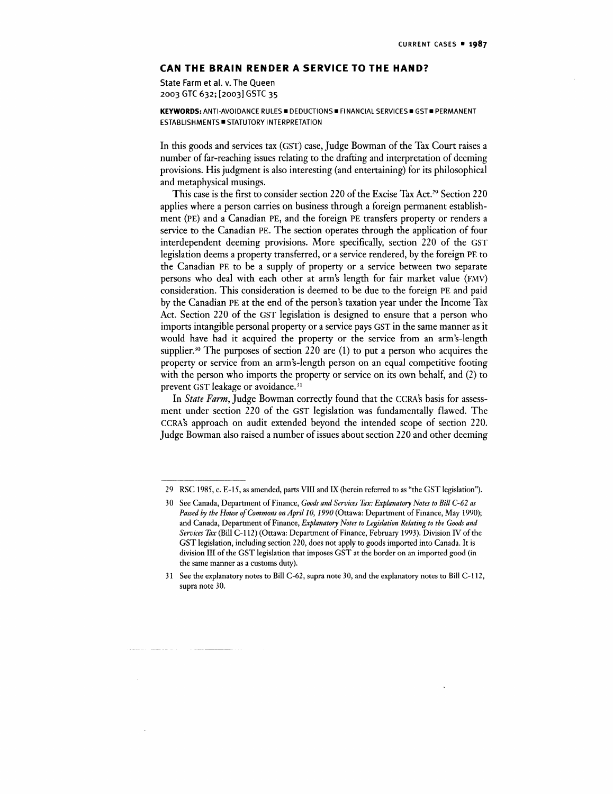## **CAN THE BRAIN RENDER A SERVICE TO THE HAND?**

State Farm et al. v. The Queen 2003 GTC 632; [2003] GSTC 35

**KEYWORDS:** ANTI-AVOIDANCE RULES • DEDUCTIONS • FINANCIAL SERVICES • GST • PERMANENT ESTABLISHMENTS **STATUTORY INTERPRETATION** 

In this goods and services tax (GST) case, Judge Bowman of the Tax Court raises a number of far-reaching issues relating to the drafting and interpretation of deeming provisions. His judgment is also interesting (and entertaining) for its philosophical and metaphysical musings.

This case is the first to consider section 220 of the Excise Tax Act.<sup>29</sup> Section 220 applies where a person carries on business through a foreign permanent establishment (PE) and a Canadian PE, and the foreign PE transfers property or renders a service to the Canadian PE. The section operates through the application of four interdependent deeming provisions. More specifically, section 220 of the GST legislation deems a property transferred, or a service rendered, by the foreign PE to the Canadian PE to be a supply of property or a service between two separate persons who deal with each other at arm's length for fair market value (FMV) consideration. This consideration is deemed to be due to the foreign PE and paid by the Canadian PE at the end of the person's taxation year under the Income Tax Act. Section 220 of the GST legislation is designed to ensure that a person who imports intangible personal property or a service pays GST in the same manner as it would have had it acquired the property or the service from an arm's-length supplier.<sup>30</sup> The purposes of section 220 are (1) to put a person who acquires the property or service from an arm's-length person on an equal competitive footing with the person who imports the property or service on its own behalf, and (2) to prevent GST leakage or avoidance.<sup>31</sup>

In *State Farm,* Judge Bowman correctly found that the CCRA's basis for assessment under section 220 of the GST legislation was fundamentally flawed. The CCRA's approach on audit extended beyond the intended scope of section 220. Judge Bowman also raised a number of issues about section 220 and other deeming

<sup>29</sup> RSC 1985, c. E-15, as amended, parts VIII and IX (herein referred to as "the GST legislation").

<sup>30</sup> See Canada, Department of Finance, *Goods and Services Tax: Explanatory Notes to Bill C-62 as Passed by the House of Commons on April 10, 1990* (Ottawa: Department of Finance, May 1990); and Canada, Department of Finance, *Explanatory Notes to Legislation Relating to the Goods and Services Tax* (Bill C-l 12) (Ottawa: Department of Finance, February 1993). Division IV of the GST legislation, including section 220, does not apply to goods imported into Canada. It is division III of the GST legislation that imposes GST at the border on an imported good (in the same manner as a customs duty).

<sup>31</sup> See the explanatory notes to Bill C-62, supra note 30, and the explanatory notes to Bill C-l 12, supra note 30.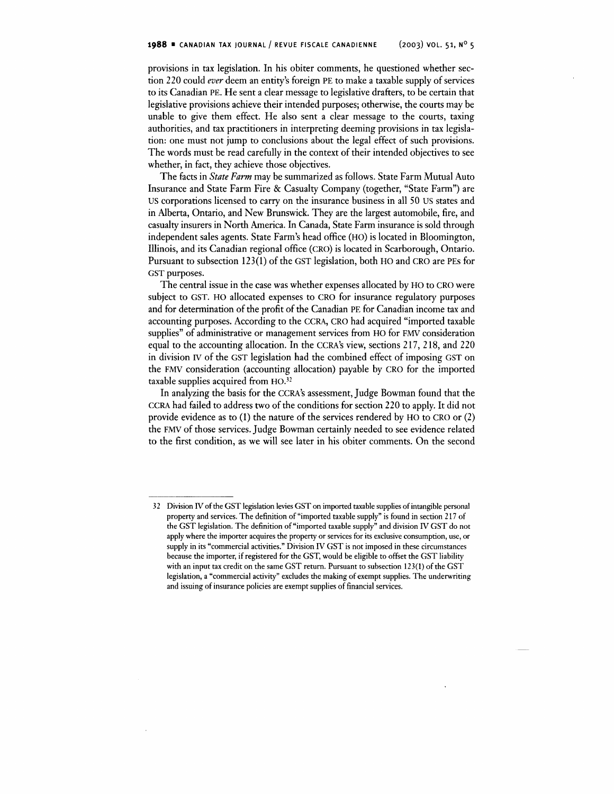provisions in tax legislation. In his obiter comments, he questioned whether section 220 could *ever* deem an entity's foreign PE to make a taxable supply of services to its Canadian PE. He sent a clear message to legislative drafters, to be certain that legislative provisions achieve their intended purposes; otherwise, the courts may be unable to give them effect. He also sent a clear message to the courts, taxing authorities, and tax practitioners in interpreting deeming provisions in tax legislation: one must not jump to conclusions about the legal effect of such provisions. The words must be read carefully in the context of their intended objectives to see whether, in fact, they achieve those objectives.

The facts in *State Farm* may be summarized as follows. State Farm Mutual Auto Insurance and State Farm Fire & Casualty Company (together, "State Farm") are US corporations licensed to carry on the insurance business in all 50 US states and in Alberta, Ontario, and New Brunswick. They are the largest automobile, fire, and casualty insurers in North America. In Canada, State Farm insurance is sold through independent sales agents. State Farm's head office (HO) is located in Bloomington, Illinois, and its Canadian regional office (CRO) is located in Scarborough, Ontario. Pursuant to subsection 123(1) of the GST legislation, both HO and CRO are PEs for GST purposes.

The central issue in the case was whether expenses allocated by HO to CRO were subject to GST. HO allocated expenses to CRO for insurance regulatory purposes and for determination of the profit of the Canadian PE for Canadian income tax and accounting purposes. According to the CCRA, CRO had acquired "imported taxable supplies" of administrative or management services from HO for FMV consideration equal to the accounting allocation. In the CCRA's view, sections 217, 218, and 220 in division IV of the GST legislation had the combined effect of imposing GST on the FMV consideration (accounting allocation) payable by CRO for the imported taxable supplies acquired from HO.<sup>32</sup>

In analyzing the basis for the CCRA's assessment, Judge Bowman found that the CCRA had failed to address two of the conditions for section 220 to apply. It did not provide evidence as to (1) the nature of the services rendered by HO to CRO or (2) the FMV of those services. Judge Bowman certainly needed to see evidence related to the first condition, as we will see later in his obiter comments. On the second

<sup>32</sup> Division IV of the GST legislation levies GST on imported taxable supplies of intangible personal property and services. The definition of "imported taxable supply" is found in section 217 of the GST legislation. The definition of "imported taxable supply" and division IV GST do not apply where the importer acquires the property or services for its exclusive consumption, use, or supply in its "commercial activities." Division IV GST is not imposed in these circumstances because the importer, if registered for the GST, would be eligible to offset the GST liability with an input tax credit on the same GST return. Pursuant to subsection 123(1) of the GST legislation, a "commercial activity" excludes the making of exempt supplies. The underwriting and issuing of insurance policies are exempt supplies of financial services.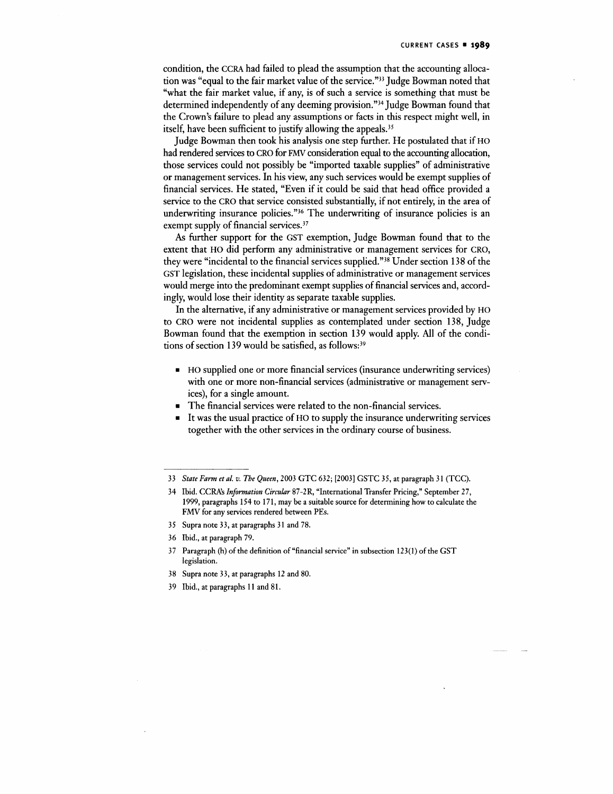condition, the CCRA had failed to plead the assumption that the accounting allocation was "equal to the fair market value of the service."<sup>33</sup> Judge Bowman noted that "what the fair market value, if any, is of such a service is something that must be determined independently of any deeming provision."<sup>34</sup> Judge Bowman found that the Crown's failure to plead any assumptions or facts in this respect might well, in itself, have been sufficient to justify allowing the appeals.<sup>35</sup>

Judge Bowman then took his analysis one step further. He postulated that if HO had rendered services to CRO for FMV consideration equal to the accounting allocation, those services could not possibly be "imported taxable supplies" of administrative or management services. In his view, any such services would be exempt supplies of financial services. He stated, "Even if it could be said that head office provided a service to the CRO that service consisted substantially, if not entirely, in the area of underwriting insurance policies."<sup>36</sup> The underwriting of insurance policies is an exempt supply of financial services.<sup>37</sup>

As further support for the GST exemption, Judge Bowman found that to the extent that HO did perform any administrative or management services for CRO, they were "incidental to the financial services supplied."<sup>38</sup> Under section 138 of the GST legislation, these incidental supplies of administrative or management services would merge into the predominant exempt supplies of financial services and, accordingly, would lose their identity as separate taxable supplies.

In the alternative, if any administrative or management services provided by HO to CRO were not incidental supplies as contemplated under section 138, Judge Bowman found that the exemption in section 139 would apply. All of the conditions of section 139 would be satisfied, as follows:<sup>39</sup>

- HO supplied one or more financial services (insurance underwriting services) with one or more non-financial services (administrative or management services), for a single amount.
- The financial services were related to the non-financial services.
- It was the usual practice of HO to supply the insurance underwriting services together with the other services in the ordinary course of business.

- 38 Supra note 33, at paragraphs 12 and 80.
- 39 Ibid., at paragraphs 11 and 81.

<sup>33</sup> *State Farm et al. v. The Queen,* 2003 GTC 632; [2003] GSTC 35, at paragraph 31 (TCC).

<sup>34</sup> Ibid. CCRA's Information Circular 87-2R, "International Transfer Pricing," September 27, 1999, paragraphs 154 to 171, may be a suitable source for determining how to calculate the FMV for any services rendered between PEs.

<sup>35</sup> Supra note 33, at paragraphs 31 and 78.

<sup>36</sup> Ibid., at paragraph 79.

<sup>37</sup> Paragraph (h) of the definition of "financial service" in subsection 123(1) of the GST legislation.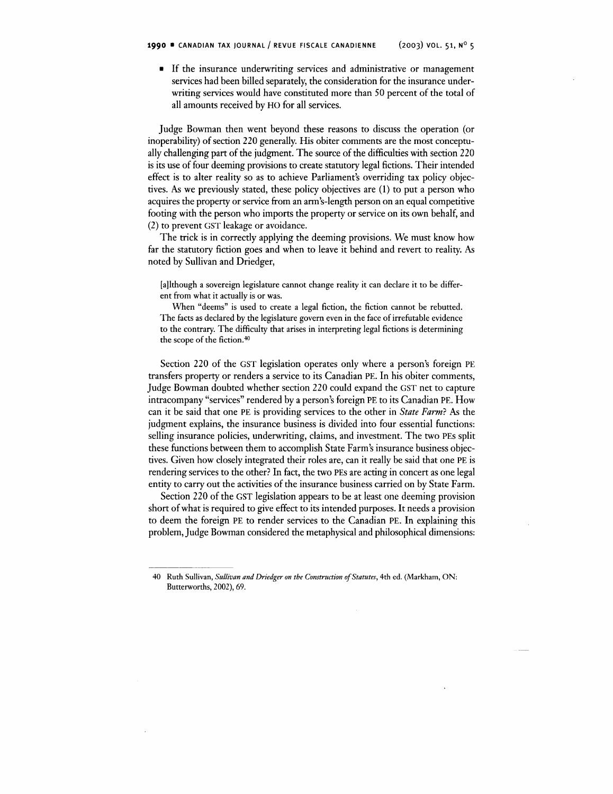• If the insurance underwriting services and administrative or management services had been billed separately, the consideration for the insurance underwriting services would have constituted more than 50 percent of the total of all amounts received by HO for all services.

Judge Bowman then went beyond these reasons to discuss the operation (or inoperability) of section 220 generally. His obiter comments are the most conceptually challenging part of the judgment. The source of the difficulties with section 220 is its use of four deeming provisions to create statutory legal fictions. Their intended effect is to alter reality so as to achieve Parliament's overriding tax policy objectives. As we previously stated, these policy objectives are (1) to put a person who acquires the property or service from an arm's-length person on an equal competitive footing with the person who imports the property or service on its own behalf, and (2) to prevent GST leakage or avoidance.

The trick is in correctly applying the deeming provisions. We must know how far the statutory fiction goes and when to leave it behind and revert to reality. As noted by Sullivan and Driedger,

[although a sovereign legislature cannot change reality it can declare it to be different from what it actually is or was.

When "deems" is used to create a legal fiction, the fiction cannot be rebutted. The facts as declared by the legislature govern even in the face of irrefutable evidence to the contrary. The difficulty that arises in interpreting legal fictions is determining the scope of the fiction.<sup>40</sup>

Section 220 of the GST legislation operates only where a person's foreign PE transfers property or renders a service to its Canadian PE. In his obiter comments, Judge Bowman doubted whether section 220 could expand the GST net to capture intracompany "services" rendered by a person's foreign PE to its Canadian PE. How can it be said that one PE is providing services to the other in *State Farm?* As the judgment explains, the insurance business is divided into four essential functions: selling insurance policies, underwriting, claims, and investment. The two PEs split these functions between them to accomplish State Farm's insurance business objectives. Given how closely integrated their roles are, can it really be said that one PE is rendering services to the other? In fact, the two PEs are acting in concert as one legal entity to carry out the activities of the insurance business carried on by State Farm.

Section 220 of the GST legislation appears to be at least one deeming provision short of what is required to give effect to its intended purposes. It needs a provision to deem the foreign PE to render services to the Canadian PE. In explaining this problem, Judge Bowman considered the metaphysical and philosophical dimensions:

<sup>40</sup> Ruth Sullivan, *Sullivan and Driedger on the Construction of Statutes,* 4th ed. (Markham, ON: Butterworths, 2002), 69.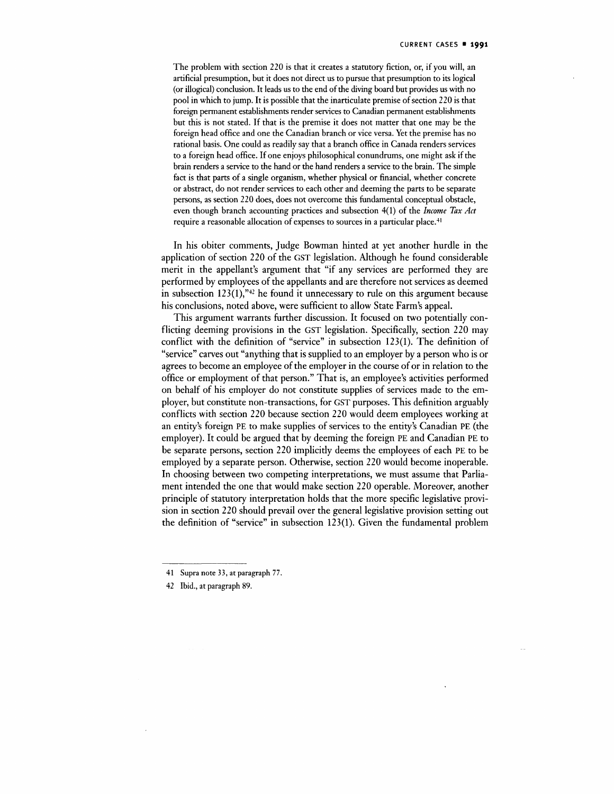The problem with section 220 is that it creates a statutory fiction, or, if you will, an artificial presumption, but it does not direct us to pursue that presumption to its logical (or illogical) conclusion. It leads us to the end of the diving board but provides us with no pool in which to jump. It is possible that the inarticulate premise of section 220 is that foreign permanent establishments render services to Canadian permanent establishments but this is not stated. If that is the premise it does not matter that one may be the foreign head office and one the Canadian branch or vice versa. Yet the premise has no rational basis. One could as readily say that a branch office in Canada renders services to a foreign head office. If one enjoys philosophical conundrums, one might ask if the brain renders a service to the hand or the hand renders a service to the brain. The simple fact is that parts of a single organism, whether physical or financial, whether concrete or abstract, do not render services to each other and deeming the parts to be separate persons, as section 220 does, does not overcome this fundamental conceptual obstacle, even though branch accounting practices and subsection 4(1) of the *Income Tax Act* require a reasonable allocation of expenses to sources in a particular place.<sup>41</sup>

In his obiter comments, Judge Bowman hinted at yet another hurdle in the application of section 220 of the GST legislation. Although he found considerable merit in the appellant's argument that "if any services are performed they are performed by employees of the appellants and are therefore not services as deemed in subsection 123(1),"<sup>42</sup> he found it unnecessary to rule on this argument because his conclusions, noted above, were sufficient to allow State Farm's appeal.

This argument warrants further discussion. It focused on two potentially conflicting deeming provisions in the GST legislation. Specifically, section 220 may conflict with the definition of "service" in subsection 123(1). The definition of "service" carves out "anything that is supplied to an employer by a person who is or agrees to become an employee of the employer in the course of or in relation to the office or employment of that person." That is, an employee's activities performed on behalf of his employer do not constitute supplies of services made to the employer, but constitute non-transactions, for GST purposes. This definition arguably conflicts with section 220 because section 220 would deem employees working at an entity's foreign PE to make supplies of services to the entity's Canadian PE (the employer). It could be argued that by deeming the foreign PE and Canadian PE to be separate persons, section 220 implicitly deems the employees of each PE to be employed by a separate person. Otherwise, section 220 would become inoperable. In choosing between two competing interpretations, we must assume that Parliament intended the one that would make section 220 operable. Moreover, another principle of statutory interpretation holds that the more specific legislative provision in section 220 should prevail over the general legislative provision setting out the definition of "service" in subsection 123(1). Given the fundamental problem

<sup>41</sup> Supra note 33, at paragraph 77.

<sup>42</sup> Ibid., at paragraph 89.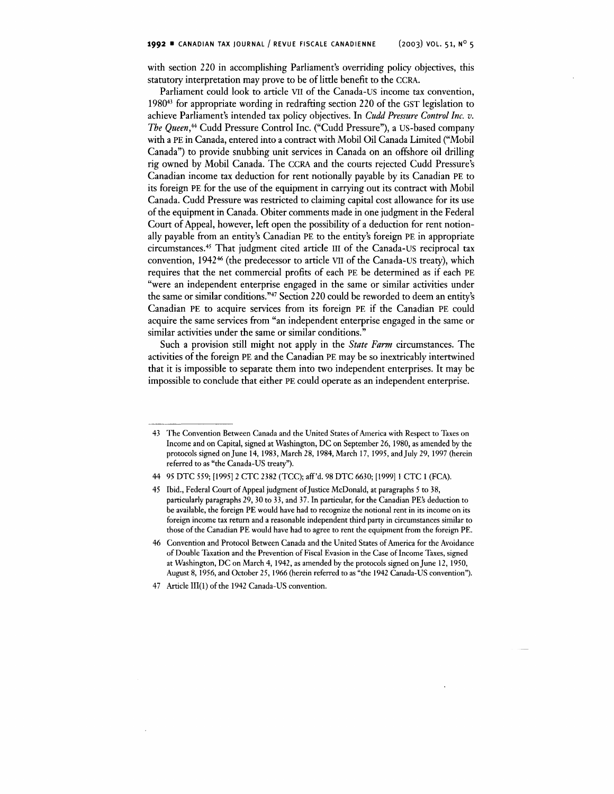with section 220 in accomplishing Parliament's overriding policy objectives, this statutory interpretation may prove to be of little benefit to the CCRA.

Parliament could look to article VII of the Canada-US income tax convention, 1980<sup>43</sup> for appropriate wording in redrafting section 220 of the GST legislation to achieve Parliament's intended tax policy objectives. In *Cudd Pressure Control Inc. v. The Queen\*\** Cudd Pressure Control Inc. ("Cudd Pressure"), a US-based company with a PE in Canada, entered into a contract with Mobil Oil Canada Limited ("Mobil Canada") to provide snubbing unit services in Canada on an offshore oil drilling rig owned by Mobil Canada. The CCRA and the courts rejected Cudd Pressure's Canadian income tax deduction for rent notionally payable by its Canadian PE to its foreign PE for the use of the equipment in carrying out its contract with Mobil Canada. Cudd Pressure was restricted to claiming capital cost allowance for its use of the equipment in Canada. Obiter comments made in one judgment in the Federal Court of Appeal, however, left open the possibility of a deduction for rent notionally payable from an entity's Canadian PE to the entity's foreign PE in appropriate circumstances.<sup>45</sup> That judgment cited article III of the Canada-US reciprocal tax convention, 1942<sup>46</sup> (the predecessor to article VII of the Canada-US treaty), which requires that the net commercial profits of each PE be determined as if each PE "were an independent enterprise engaged in the same or similar activities under the same or similar conditions."<sup>47</sup> Section 220 could be reworded to deem an entity's Canadian PE to acquire services from its foreign PE if the Canadian PE could acquire the same services from "an independent enterprise engaged in the same or similar activities under the same or similar conditions."

Such a provision still might not apply in the *State Farm* circumstances. The activities of the foreign PE and the Canadian PE may be so inextricably intertwined that it is impossible to separate them into two independent enterprises. It may be impossible to conclude that either PE could operate as an independent enterprise.

<sup>43</sup> The Convention Between Canada and the United States of America with Respect to Taxes on Income and on Capital, signed at Washington, DC on September 26, 1980, as amended by the protocols signed on June 14, 1983, March 28, 1984, March 17, 1995, and July 29, 1997 (herein referred to as "the Canada-US treaty").

<sup>44 95</sup> DTC 559; [1995] 2 CTC 2382 (TCC); aff 'd. 98 DTC 6630; [1999] 1 CTC 1 (EGA).

<sup>45</sup> Ibid., Federal Court of Appeal judgment of Justice McDonald, at paragraphs 5 to 38, particularly paragraphs 29, 30 to 33, and 37. In particular, for the Canadian PE's deduction to be available, the foreign PE would have had to recognize the notional rent in its income on its foreign income tax return and a reasonable independent third party in circumstances similar to those of the Canadian PE would have had to agree to rent the equipment from the foreign PE.

<sup>46</sup> Convention and Protocol Between Canada and the United States of America for the Avoidance of Double Taxation and the Prevention of Fiscal Evasion in the Case of Income Taxes, signed at Washington, DC on March 4, 1942, as amended by the protocols signed on June 12, 1950, August 8, 1956, and October 25, 1966 (herein referred to as "the 1942 Canada-US convention").

<sup>47</sup> Article III(l) of the 1942 Canada-US convention.